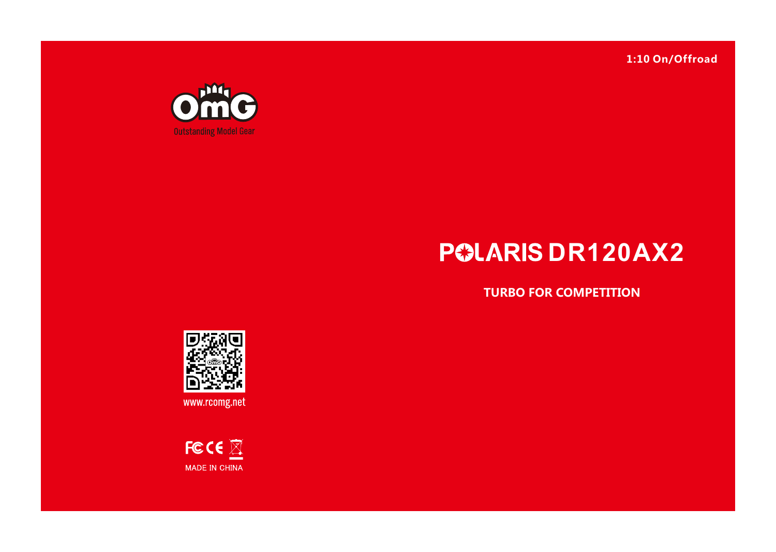**1:10 On/Offroad**



# **POLARIS DR120AX2**

**TURBO FOR COMPETITION**



www.rcomg.net

FCCE  $\overline{\mathbb{Z}}$ MADE IN CHINA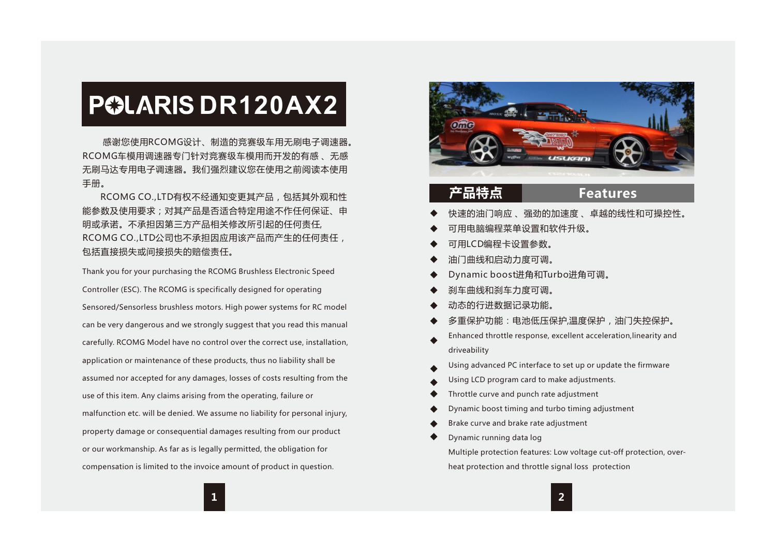# **POLARIS DR120AX2**

 感谢您使用RCOMG设计、制造的竞赛级车用无刷电子调速器。 RCOMG车模用调速器专门针对竞赛级车模用而开发的有感 、无感 无刷马达专用电子调速器。我们强烈建议您在使用之前阅读本使用 手册。

 RCOMG CO.,LTD有权不经通知变更其产品,包括其外观和性 能参数及使用要求;对其产品是否适合特定用途不作任何保证、申 明或承诺。不承担因第三方产品相关修改所引起的任何责任, RCOMG CO.,LTD公司也不承担因应用该产品而产生的任何责任, 包括直接损失或间接损失的赔偿责任。

Thank you for your purchasing the RCOMG Brushless Electronic Speed Controller (ESC). The RCOMG is specifically designed for operating Sensored/Sensorless brushless motors. High power systems for RC model can be very dangerous and we strongly suggest that you read this manual carefully. RCOMG Model have no control over the correct use, installation, application or maintenance of these products, thus no liability shall be assumed nor accepted for any damages, losses of costs resulting from the use of this item. Any claims arising from the operating, failure or malfunction etc. will be denied. We assume no liability for personal injury, property damage or consequential damages resulting from our product or our workmanship. As far as is legally permitted, the obligation for compensation is limited to the invoice amount of product in question.



**产品特点**

# **Features**

- 快速的油门响应 、强劲的加速度 、卓越的线性和可操控性。
- 可用电脑编程菜单设置和软件升级。
- 可用LCD编程卡设置参数。
- 油门曲线和启动力度可调。
- Dynamic boost进角和Turbo进角可调。
- 刹车曲线和刹车力度可调。
- 动态的行进数据记录功能。
- 多重保护功能:电池低压保护,温度保护,油门失控保护。
- Enhanced throttle response, excellent acceleration,linearity and driveability
- Using advanced PC interface to set up or update the firmware
- Using LCD program card to make adjustments.
- Throttle curve and punch rate adjustment
- Dynamic boost timing and turbo timing adjustment
- Brake curve and brake rate adjustment
- Dynamic running data log

Multiple protection features: Low voltage cut-off protection, overheat protection and throttle signal loss protection

**2**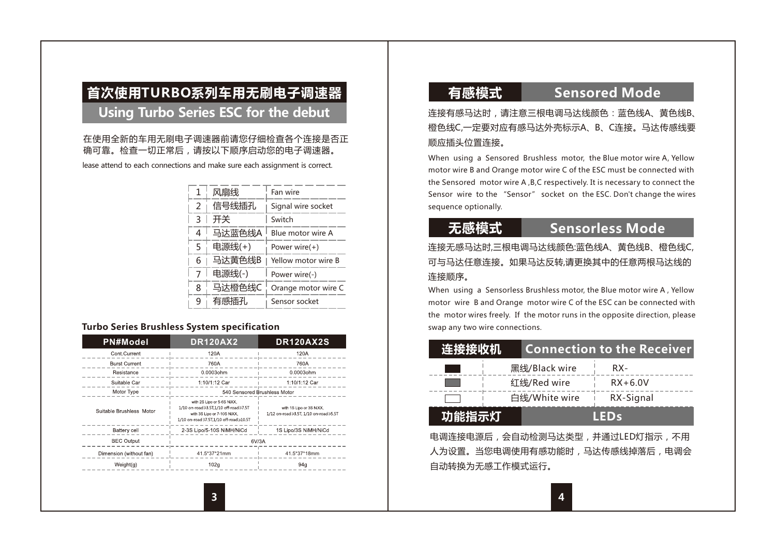# **首次使用TURBO系列车用无刷电子调速器**

## **Using Turbo Series ESC for the debut**

#### 在使用全新的车用无刷电子调速器前请您仔细检查各个连接是否正 确可靠。检查一切正常后,请按以下顺序启动您的电子调速器。

lease attend to each connections and make sure each assignment is correct.

| 1<br>风扇线       |        | Fan wire            |  |  |
|----------------|--------|---------------------|--|--|
| $\overline{2}$ | 信号线插孔  | Signal wire socket  |  |  |
| ξ              | 开关     | Switch              |  |  |
| 4              | 马达蓝色线A | Blue motor wire A   |  |  |
| 5              | 电源线(+) | Power wire(+)       |  |  |
| 6              | 马达黄色线B | Yellow motor wire B |  |  |
| $\overline{7}$ | 电源线(-) | Power wire(-)       |  |  |
| 8              | 马达橙色线C | Orange motor wire C |  |  |
| 9              | 有感插孔   | Sensor socket       |  |  |
|                |        |                     |  |  |

### **Turbo Series Brushless System specification**

| <b>PN#Model</b>           | <b>DR120AX2</b>                                                                                                                                  | <b>DR120AX2S</b>                                                  |  |  |
|---------------------------|--------------------------------------------------------------------------------------------------------------------------------------------------|-------------------------------------------------------------------|--|--|
| Cont.Current              | 120A                                                                                                                                             | 120A                                                              |  |  |
| <b>Burst Current</b>      | 760A                                                                                                                                             | 760A                                                              |  |  |
| Resistance                | 0.0003ohm                                                                                                                                        | 0.0003ohm                                                         |  |  |
| Suitable Car              | 1:10/1:12 Car                                                                                                                                    | 1:10/1:12 Car                                                     |  |  |
| Motor Type                | 540 Sensored Brushless Motor                                                                                                                     |                                                                   |  |  |
| Suitable Brushless, Motor | with 2S Lipo or 5-6S NDOX,<br>1/10 on-road \$3.5T.1/10 off-road \$7.5T<br>with 3S Lipo or 7-10S NiXX.<br>1/10 on-road >7.5T.1/10 off-road >10.5T | with 1S Lipp or 3S NXX.<br>1/12 on-road >3.5T, 1/10 on-road >5.5T |  |  |
| Battery cell              | 2-3S Lipp/5-10S NiMH/NiCd                                                                                                                        | 1S Lipo/3S NiMH/NiCd                                              |  |  |
| <b>BEC Output</b>         | 6V/3A                                                                                                                                            |                                                                   |  |  |
| Dimension (without fan)   | 41.5*37*21mm                                                                                                                                     | 41.5*37*18mm                                                      |  |  |
| Weight(g)                 | 102 <sub>G</sub><br>94 <sub>0</sub>                                                                                                              |                                                                   |  |  |

# **有感模式 Sensored Mode**

连接有感马达时,请注音三根由调马达线颜色:蓝色线A、黄色线B 橙色线C,一定要对应有感马达外壳标示A、B、C连接。马达传感线要 顺应插头位置连接。

When using a Sensored Brushless motor, the Blue motor wire A, Yellow motor wire B and Orange motor wire C of the ESC must be connected with the Sensored motor wire A ,B,C respectively. It is necessary to connect the Sensor wire to the "Sensor" socket on the ESC. Don't change the wires sequence optionally.

# **无感模式 Sensorless Mode**

连接无感马达时,三根电调马达线颜色:蓝色线A、黄色线B、橙色线C, 可与马达任意连接。如果马达反转,请更换其中的任意两根马达线的 连接顺序。

When using a Sensorless Brushless motor, the Blue motor wire A , Yellow motor wire B and Orange motor wire C of the ESC can be connected with the motor wires freely. If the motor runs in the opposite direction, please swap any two wire connections.

| 连接接收机 |               | <b>Connection to the Receiver</b> |  |
|-------|---------------|-----------------------------------|--|
|       | 黑线/Black wire | RX-                               |  |
|       | 红线/Red wire   | $RX+6.0V$                         |  |
|       | 白线/White wire | RX-Signal                         |  |
| 功能指示灯 |               | IEDS                              |  |

电调连接电源后,会自动检测马达类型,并通过LED灯指示,不用 人为设置。当您电调使用有感功能时,马达传感线掉落后,电调会 自动转换为无感工作模式运行。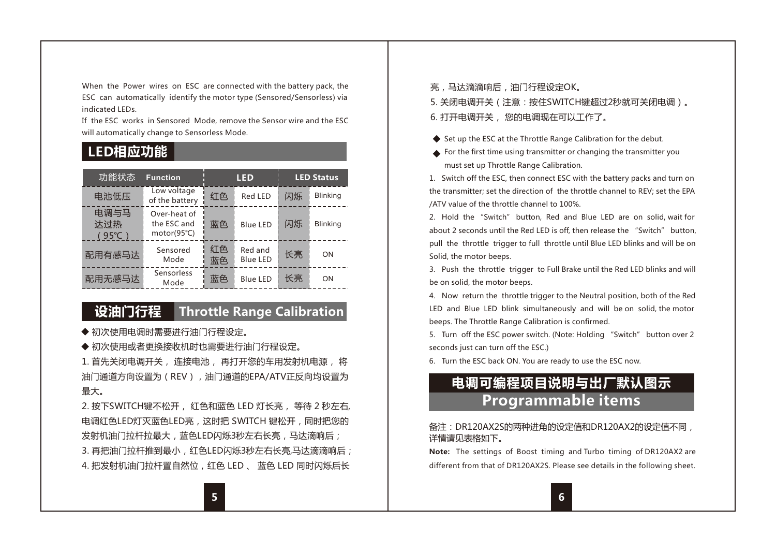When the Power wires on ESC are connected with the battery pack, the ESC can automatically identify the motor type (Sensored/Sensorless) via indicated LEDs.

If the ESC works in Sensored Mode, remove the Sensor wire and the ESC will automatically change to Sensorless Mode.

# **LED相应功能**

| 功能状态                           | <b>Function</b>                            | <b>LED</b> |                     | <b>LED Status</b> |                 |
|--------------------------------|--------------------------------------------|------------|---------------------|-------------------|-----------------|
| 电池低压                           | Low voltage<br>of the battery              | 红色         | Red LED             | 闪烁                | <b>Blinking</b> |
| 电调与马<br>达过热<br>$(95^{\circ}C)$ | Over-heat of<br>the ESC and<br>motor(95°C) | 蓝色         | Blue LED            | 闪烁                | <b>Blinking</b> |
| 配用有感马达                         | Sensored<br>Mode                           | 红色<br>蓝色   | Red and<br>Blue LED | 长亮                | ON              |
| 配用无感马达                         | Sensorless<br>Mode                         | 蓝色         | <b>Blue LED</b>     | 长亮                | ON              |

# **设油门行程 Throttle Range Calibration**

- ◆ 初次使用电调时需要进行油门行程设定。
- ◆ 初次使用或者更换接收机时也需要进行油门行程设定。

1. 首先关闭电调开关, 连接电池, 再打开您的车用发射机电源, 将 油门通道方向设置为(REV), 油门通道的EPA/ATV正反向均设置为 最大。

2. 按下SWITCH键不松开, 红色和蓝色 LED 灯长亮, 等待 2 秒左右, 电调红色LED灯灭蓝色LED亮,这时把 SWITCH 键松开,同时把您的 发射机油门拉杆拉最大,蓝色LED闪烁3秒左右长亮,马达滴响后; 3. 再把油门拉杆推到最小, 红色LED闪烁3秒左右长亮,马达滴滴响后; 4. 把发射机油门拉杆置自然位,红色 LED 、 蓝色 LED 同时闪烁后长

亮,马达滴滴响后,油门行程设定OK。

5. 关闭电调开关(注意:按住SWITCH键超过2秒就可关闭电调)。 6. 打开电调开关, 您的电调现在可以工作了。

- ◆ Set up the ESC at the Throttle Range Calibration for the debut.
- For the first time using transmitter or changing the transmitter you must set up Throttle Range Calibration.

1. Switch off the ESC, then connect ESC with the battery packs and turn on the transmitter; set the direction of the throttle channel to REV; set the EPA /ATV value of the throttle channel to 100%.

2. Hold the "Switch" button, Red and Blue LED are on solid, wait for about 2 seconds until the Red LED is off, then release the "Switch" button, pull the throttle trigger to full throttle until Blue LED blinks and will be on Solid, the motor beeps.

3. Push the throttle trigger to Full Brake until the Red LED blinks and will be on solid, the motor beeps.

4. Now return the throttle trigger to the Neutral position, both of the Red LED and Blue LED blink simultaneously and will be on solid, the motor beeps. The Throttle Range Calibration is confirmed.

5. Turn off the ESC power switch. (Note: Holding "Switch" button over 2 seconds just can turn off the ESC.)

6. Turn the ESC back ON. You are ready to use the ESC now.

# **电调可编程项目说明与出厂默认图示 Programmable items**

#### 备注:DR120AX2S的两种进角的设定值和DR120AX2的设定值不同, 详情请见表格如下。

**Note:** The settings of Boost timing and Turbo timing of DR120AX2 are different from that of DR120AX2S. Please see details in the following sheet.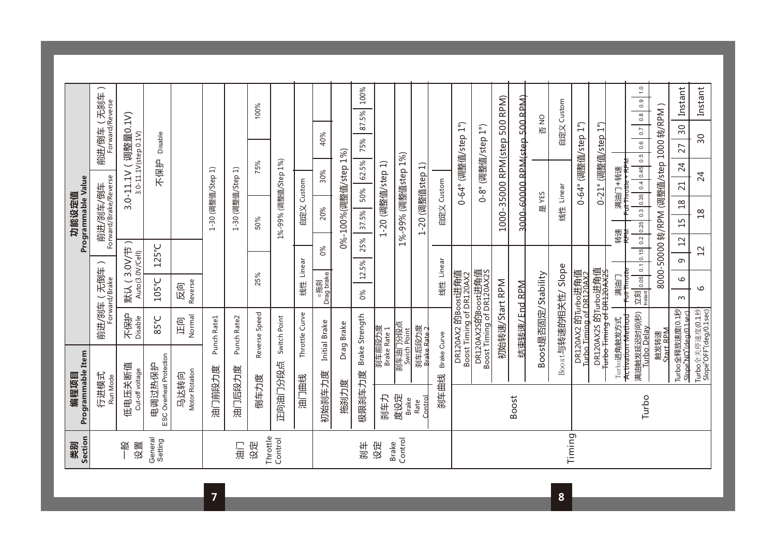| 業別                      | 编程项目                              |                                                 |                                                             |                                                                                                                                                                                                                                                                                                                     |                       | 功能设定值                                   |                                           |                                  |                             |
|-------------------------|-----------------------------------|-------------------------------------------------|-------------------------------------------------------------|---------------------------------------------------------------------------------------------------------------------------------------------------------------------------------------------------------------------------------------------------------------------------------------------------------------------|-----------------------|-----------------------------------------|-------------------------------------------|----------------------------------|-----------------------------|
| Section                 | Programmable Item<br>行进模式         |                                                 |                                                             | 前进/刹车 (无倒车                                                                                                                                                                                                                                                                                                          |                       | Programmable Value                      |                                           | 前进/倒车 (无刹车)                      |                             |
|                         | Run Mode                          |                                                 |                                                             | Forward/Brake                                                                                                                                                                                                                                                                                                       |                       | Forward/Brake/Reverse<br>前进/刹车/倒车       |                                           | Forward/Reverse                  |                             |
| 般<br>设置                 | 低电压关断值<br>Cut-off voltage         |                                                 | 不保护<br>Disable                                              | Auto(3.0V/Cell)<br>默认                                                                                                                                                                                                                                                                                               | (3.0V/节               |                                         | $\overline{\phantom{0}}$<br>$3.0 - 11.1V$ | 调整量0.1V)<br>3.0-11.1V(step 0.1V) |                             |
| General<br>Setting      | ESC Overheat Protection<br>电调过热保护 |                                                 | 95°C                                                        | 105°C                                                                                                                                                                                                                                                                                                               | 125°C                 |                                         | 不保护                                       | Disable                          |                             |
|                         | Motor Rotation<br>马达转向            |                                                 | Normal<br>旧                                                 | Reverse<br>反向                                                                                                                                                                                                                                                                                                       |                       |                                         |                                           |                                  |                             |
|                         | 油门前段力度                            |                                                 | Punch Rate1                                                 |                                                                                                                                                                                                                                                                                                                     |                       | 1-30 (调整直/Step                          | ≘                                         |                                  |                             |
| 三角                      | 油门后段力度                            |                                                 | Punch Rate2                                                 |                                                                                                                                                                                                                                                                                                                     |                       | 1-30 (调整值/Step 1)                       |                                           |                                  |                             |
| Throttle<br>设定          | 倒车力度                              |                                                 | Reverse Speed                                               | 25%                                                                                                                                                                                                                                                                                                                 |                       | 50%                                     | 75%                                       |                                  | 100%                        |
| Control                 | 正向油门分段点                           |                                                 | Switch Point                                                |                                                                                                                                                                                                                                                                                                                     |                       | 1%-99% (调整值/Step 1%)                    |                                           |                                  |                             |
|                         | 油门曲线                              |                                                 | Throttle Curve                                              | 线性 Linear                                                                                                                                                                                                                                                                                                           |                       | 自定义 Custom                              |                                           |                                  |                             |
|                         | 初始刹车力度                            |                                                 | Initial Brake                                               | =拖刹<br>Drag brake                                                                                                                                                                                                                                                                                                   | $\%0$                 | 20%                                     | 30%                                       | 40%                              |                             |
|                         | 拖刹力度                              |                                                 | Drag Brake                                                  |                                                                                                                                                                                                                                                                                                                     |                       | 0%-100%(调整值/step 1%)                    |                                           |                                  |                             |
| 利年                      | 极限刹车力度                            |                                                 | Brake Strength                                              | 0%                                                                                                                                                                                                                                                                                                                  | 5%<br>$\sim$<br>12.5% | 50%<br>37.5%                            | 62.5%                                     | 75%                              | 100%<br>87.5%               |
| 设定                      | 刹车力                               | 刹车前段力度<br>Brake Rate 1                          |                                                             |                                                                                                                                                                                                                                                                                                                     |                       | 1-20 (调整值/step                          |                                           | ุุี่⊐                            |                             |
| Control<br><b>Brake</b> | 度设定<br><b>Brake</b>               | 刹车油门分段点<br>Swich Point                          |                                                             |                                                                                                                                                                                                                                                                                                                     |                       | 1%-99% (调整值step 1%)                     |                                           |                                  |                             |
|                         | Control<br>Rate                   | 刹车后段力度<br>Brake Rate 2                          |                                                             |                                                                                                                                                                                                                                                                                                                     |                       | 1-20 (调整值step 1)                        |                                           |                                  |                             |
|                         | 刹车曲线                              | Brake Curve                                     |                                                             | 线性 Linear                                                                                                                                                                                                                                                                                                           |                       | 自定义 Custom                              |                                           |                                  |                             |
|                         |                                   |                                                 | DR120AX2 的Boost进角值<br>Boost Timing of DR120AX2              |                                                                                                                                                                                                                                                                                                                     |                       |                                         |                                           | 0-64° (调整值/step 1°)              |                             |
|                         |                                   |                                                 | DR120AX2S的Boost进角值<br>Boost Timing of DR120AX2S             |                                                                                                                                                                                                                                                                                                                     |                       |                                         |                                           | 0-8° (调整值/step 1°)               |                             |
|                         |                                   |                                                 | 初始转速/Start RPM                                              |                                                                                                                                                                                                                                                                                                                     |                       |                                         |                                           | 1000-35000 RPM(step 500 RPM)     |                             |
|                         | <b>Boost</b>                      |                                                 | 告束转速/ End RPM                                               |                                                                                                                                                                                                                                                                                                                     |                       |                                         |                                           | 3000-60000 RPM(step 500 RPM)     |                             |
|                         |                                   |                                                 | Boost是否固定/Stability                                         |                                                                                                                                                                                                                                                                                                                     |                       | 是 YES                                   |                                           | SM<br>否                          |                             |
|                         |                                   |                                                 | Boost与转速的相关性/                                               | Slope                                                                                                                                                                                                                                                                                                               |                       | 线性 Linear                               |                                           |                                  | 自定义 Custom                  |
| Timing                  |                                   |                                                 | DR120AX2 的Turbo进角值<br><u>Turbo Timing of DR120AX2</u>       |                                                                                                                                                                                                                                                                                                                     |                       |                                         |                                           | 0-64° (调整值/step 1°)              |                             |
|                         |                                   |                                                 | DR120AX2S 的Turbo进角值<br><del>furbo Timing of DR120AX2S</del> |                                                                                                                                                                                                                                                                                                                     |                       |                                         |                                           | 0-21° (调整值/step 1°)              |                             |
|                         |                                   | Turbo进角触发方式                                     |                                                             | Full Throttle<br>- 演義                                                                                                                                                                                                                                                                                               |                       | <del>ull Throttle</del><br>转速<br>ŧ      | †<br>∲<br>满油门 中转速                         |                                  |                             |
|                         | Turbo                             | 满油触发延迟时间(秒)<br>Activation Method<br>Turbo Delay |                                                             | $\frac{1}{2}$ $\frac{1}{2}$ $\frac{1}{2}$ $\frac{1}{2}$ $\frac{1}{2}$ $\frac{1}{2}$ $\frac{1}{2}$ $\frac{1}{2}$ $\frac{1}{2}$ $\frac{1}{2}$ $\frac{1}{2}$ $\frac{1}{2}$ $\frac{1}{2}$ $\frac{1}{2}$ $\frac{1}{2}$ $\frac{1}{2}$ $\frac{1}{2}$ $\frac{1}{2}$ $\frac{1}{2}$ $\frac{1}{2}$ $\frac{1}{2}$ $\frac{1}{2}$ | 0.15   0.2   0.25     |                                         | 0.3 0.35 0.4 0.45 0.5                     | 0.6   0.7                        | $\frac{0}{1}$<br>0.9<br>0.8 |
|                         |                                   | <b>Start RPM</b><br>触发转速                        |                                                             |                                                                                                                                                                                                                                                                                                                     |                       | 8000-50000 转/RPM (调整值/step 1000 转/RPM ) |                                           |                                  |                             |
|                         |                                   | Turbo全释放速度(0.1秒<br>Slope NO"(deg/0.1sec)        |                                                             | $\circ$<br>$\infty$                                                                                                                                                                                                                                                                                                 | $\overline{c}$<br>თ   | $^{28}$<br>$\overline{1}$               | 24<br>$\overline{c}$                      | 50<br>27                         | Instant                     |
|                         |                                   | Turbo全关停速度(0.1秒)<br>Slope"OFF"(deg/0.1sec)      |                                                             | $\circ$                                                                                                                                                                                                                                                                                                             | 12                    | $\frac{8}{18}$                          | 24                                        | 90                               | Instant                     |
|                         |                                   |                                                 |                                                             |                                                                                                                                                                                                                                                                                                                     |                       |                                         |                                           |                                  |                             |

**8**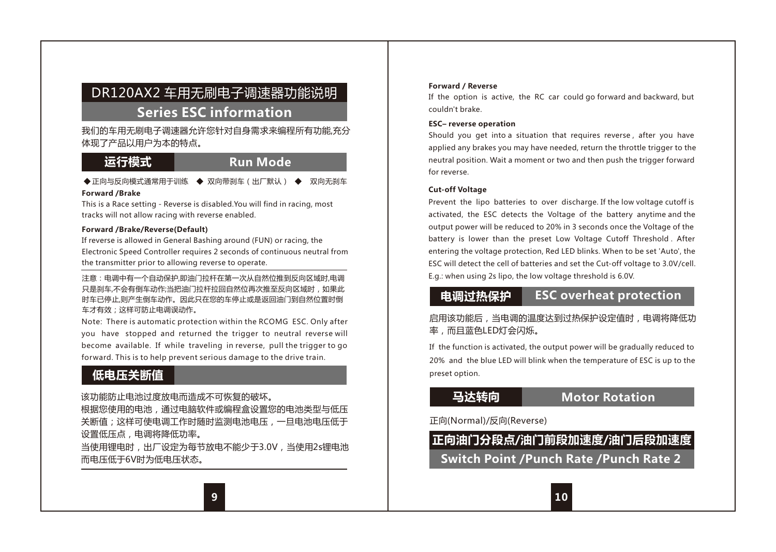# DR120AX2 车用无刷电子调速器功能说明

# **Series ESC information**

我们的车用无刷电子调速器允许您针对自身需求来编程所有功能,充分 体现了产品以用户为本的特点。

# 运行模式<br> **Run Mode**

◆正向与反向模式通常用于训练 ◆ 双向带刹车(出厂默认) ◆ 双向无刹车

#### **Forward /Brake**

This is a Race setting - Reverse is disabled.You will find in racing, most tracks will not allow racing with reverse enabled.

#### **Forward /Brake/Reverse(Default)**

If reverse is allowed in General Bashing around (FUN) or racing, the Electronic Speed Controller requires 2 seconds of continuous neutral from the transmitter prior to allowing reverse to operate.

注意:电调中有一个自动保护,即油门拉杆在第一次从自然位推到反向区域时,电调 只是刹车,不会有倒车动作;当把油门拉杆拉回自然位再次推至反向区域时,如果此 时车已停止,则产生倒车动作。因此只在您的车停止或是返回油门到自然位置时倒 车才有效;这样可防止电调误动作。

Note: There is automatic protection within the RCOMG ESC. Only after you have stopped and returned the trigger to neutral reverse will become available. If while traveling in reverse, pull the trigger to go forward. This is to help prevent serious damage to the drive train.

# **低电压关断值**

该功能防止电池过度放电而造成不可恢复的破坏。

根据您使用的电池,通过电脑软件或编程盒设置您的电池类型与低压 关断值;这样可使电调工作时随时监测电池电压,一旦电池电压低于 设置低压点,电调将降低功率。

当使用锂电时,出厂设定为每节放电不能少于3.0V,当使用2s锂电池 而电压低于6V时为低电压状态。

#### **Forward / Reverse**

If the option is active, the RC car could go forward and backward, but couldn't brake.

#### **ESC– reverse operation**

Should you get into a situation that requires reverse , after you have applied any brakes you may have needed, return the throttle trigger to the neutral position. Wait a moment or two and then push the trigger forward for reverse.

#### **Cut-off Voltage**

Prevent the lipo batteries to over discharge. If the low voltage cutoff is activated, the ESC detects the Voltage of the battery anytime and the output power will be reduced to 20% in 3 seconds once the Voltage of the battery is lower than the preset Low Voltage Cutoff Threshold . After entering the voltage protection, Red LED blinks. When to be set 'Auto', the ESC will detect the cell of batteries and set the Cut-off voltage to 3.0V/cell. E.g.: when using 2s lipo, the low voltage threshold is 6.0V.

# **电调过热保护 ESC overheat protection**

启用该功能后,当电调的温度达到过热保护设定值时,电调将降低功 率,而且蓝色LED灯会闪烁。

If the function is activated, the output power will be gradually reduced to 20% and the blue LED will blink when the temperature of ESC is up to the preset option.

# **马达转向 Motor Rotation**

### 正向(Normal)/反向(Reverse)

**正向油门分段点/油门前段加速度/油门后段加速度 Switch Point /Punch Rate /Punch Rate 2**

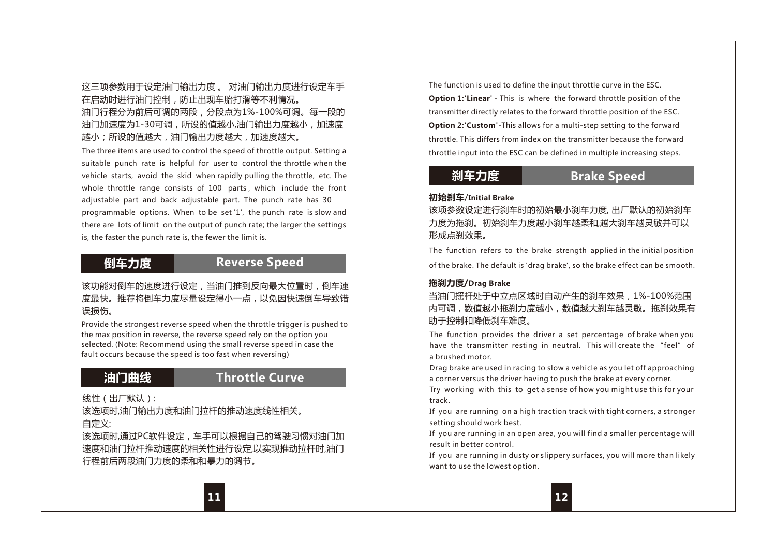## 这三项参数用于设定油门输出力度 。 对油门输出力度进行设定车手 在启动时进行油门控制,防止出现车胎打滑等不利情况。

### 油门行程分为前后可调的两段,分段点为1%-100%可调。每一段的 油门加速度为1-30可调,所设的值越小,油门输出力度越小,加速度 越小;所设的值越大,油门输出力度越大,加速度越大。

The three items are used to control the speed of throttle output. Setting a suitable punch rate is helpful for user to control the throttle when the vehicle starts, avoid the skid when rapidly pulling the throttle, etc. The whole throttle range consists of 100 parts, which include the front adjustable part and back adjustable part. The punch rate has 30 programmable options. When to be set '1', the punch rate is slow and there are lots of limit on the output of punch rate; the larger the settings is, the faster the punch rate is, the fewer the limit is.

# **倒车力度**

## **Reverse Speed**

该功能对倒车的速度进行设定,当油门推到反向最大位置时,倒车速 度最快。推荐将倒车力度尽量设定得小一点,以免因快速倒车导致错 误损伤。

Provide the strongest reverse speed when the throttle trigger is pushed to the max position in reverse, the reverse speed rely on the option you selected. (Note: Recommend using the small reverse speed in case the fault occurs because the speed is too fast when reversing)

# **油门曲线 Throttle Curve**

线性(出厂默认):

该选项时,油门输出力度和油门拉杆的推动速度线性相关。 自定义:

该选项时,通过PC软件设定,车手可以根据自己的驾驶习惯对油门加 速度和油门拉杆推动速度的相关性进行设定,以实现推动拉杆时,油门 行程前后两段油门力度的柔和和暴力的调节。

The function is used to define the input throttle curve in the ESC.

**Option 1:'Linear'** - This is where the forward throttle position of the transmitter directly relates to the forward throttle position of the ESC. **Option 2:'Custom'**-This allows for a multi-step setting to the forward throttle. This differs from index on the transmitter because the forward throttle input into the ESC can be defined in multiple increasing steps.

# **刹车力度**

# **Brake Speed**

#### **初始刹车**/**Initial Brake**

该项参数设定进行刹车时的初始最小刹车力度, 出厂默认的初始刹车 力度为拖刹。初始刹车力度越小刹车越柔和,越大刹车越灵敏并可以 形成点刹效果。

The function refers to the brake strength applied in the initial position of the brake. The default is 'drag brake', so the brake effect can be smooth.

### **拖刹力度/Drag Brake**

当油门摇杆处于中立点区域时自动产生的刹车效果,1%-100%范围 内可调,数值越小拖刹力度越小,数值越大刹车越灵敏。拖刹效果有 助于控制和降低刹车难度。

The function provides the driver a set percentage of brake when you have the transmitter resting in neutral. This will create the "feel" of a brushed motor.

Drag brake are used in racing to slow a vehicle as you let off approaching a corner versus the driver having to push the brake at every corner.

Try working with this to get a sense of how you might use this for your track.

If you are running on a high traction track with tight corners, a stronger setting should work best.

If you are running in an open area, you will find a smaller percentage will result in better control.

If you are running in dusty or slippery surfaces, you will more than likely want to use the lowest option.

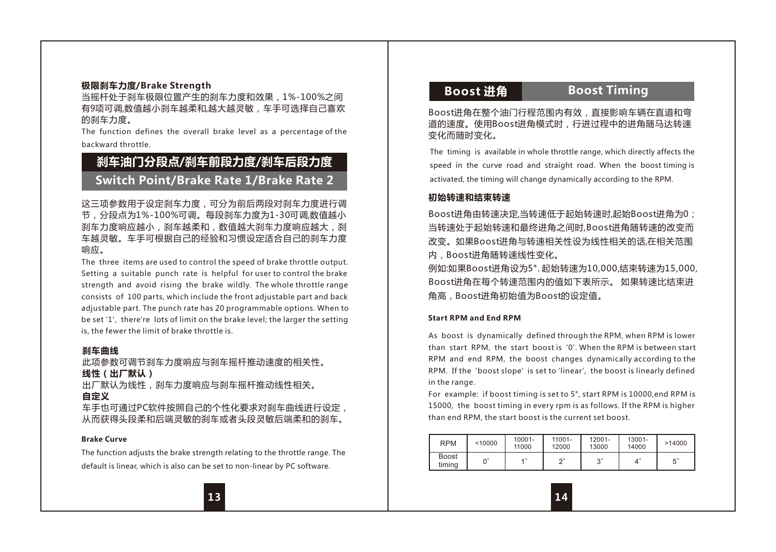### **极限刹车力度/Brake Strength**

当摇杆处于刹车极限位置产生的刹车力度和效果,1%-100%之间 有9顶可调,数值越小刹车越柔和,越大越灵敏。车手可选择自己喜欢 的刹车力度。

The function defines the overall brake level as a percentage of the backward throttle.

# **刹车油门分段点/刹车前段力度/刹车后段力度 Switch Point/Brake Rate 1/Brake Rate 2**

这三项参数用于设定刹车力度,可分为前后两段对刹车力度进行调 节,分段点为1%-100%可调。每段刹车力度为1-30可调,数值越小 刹车力度响应越小,刹车越柔和,数值越大刹车力度响应越大,刹 车越灵敏。车手可根据自己的经验和习惯设定适合自己的刹车力度 响应。

The three items are used to control the speed of brake throttle output. Setting a suitable punch rate is helpful for user to control the brake strength and avoid rising the brake wildly. The whole throttle range consists of 100 parts, which include the front adjustable part and back adjustable part. The punch rate has 20 programmable options. When to be set '1', there're lots of limit on the brake level; the larger the setting is, the fewer the limit of brake throttle is.

#### **刹车曲线**

此项参数可调节刹车力度响应与刹车摇杆推动速度的相关性。 **线性(出厂默认)** 出厂默认为线性,刹车力度响应与刹车摇杆推动线性相关。

**自定义**

车手也可通过PC软件按照自己的个性化要求对刹车曲线进行设定, 从而获得头段柔和后端灵敏的刹车或者头段灵敏后端柔和的刹车。

#### **Brake Curve**

The function adjusts the brake strength relating to the throttle range. The default is linear, which is also can be set to non-linear by PC software.

## **Boost 进角 Boost Timing**

Boost进角在整个油门行程范围内有效,直接影响车辆在直道和弯 道的速度。使用Boost进角模式时,行进过程中的进角随马达转速 变化而随时变化。

The timing is available in whole throttle range, which directly affects the speed in the curve road and straight road. When the boost timing is activated, the timing will change dynamically according to the RPM.

#### **初始转速和结束转速**

Boost进角由转速决定,当转速低于起始转速时,起始Boost进角为0; 当转速处于起始转速和最终进角之间时,Boost进角随转速的改变而 改变。如果Boost进角与转速相关性设为线性相关的话,在相关范围 内,Boost进角随转速线性变化。

例如:如果Boost进角设为5°,起始转速为10,000,结束转速为15,000, Boost进角在每个转速范围内的值如下表所示。 如果转速比结束进 角高,Boost进角初始值为Boost的设定值。

#### **Start RPM and End RPM**

As boost is dynamically defined through the RPM, when RPM is lower than start RPM, the start boost is '0'. When the RPM is between start RPM and end RPM, the boost changes dynamically according to the RPM. If the 'boost slope' is set to 'linear', the boost is linearly defined in the range.

For example: if boost timing is set to 5°, start RPM is 10000,end RPM is 15000, the boost timing in every rpm is as follows. If the RPM is higher than end RPM, the start boost is the current set boost.

| <b>RPM</b>      | < 10000 | $10001 -$<br>11000 | 11001-<br>12000 | 12001-<br>13000 | 13001-<br>14000 | >14000               |
|-----------------|---------|--------------------|-----------------|-----------------|-----------------|----------------------|
| Boost<br>timina | o۵      |                    | $\sim$          | $\sim$<br>ت     |                 | $\mathbf{r}^{\circ}$ |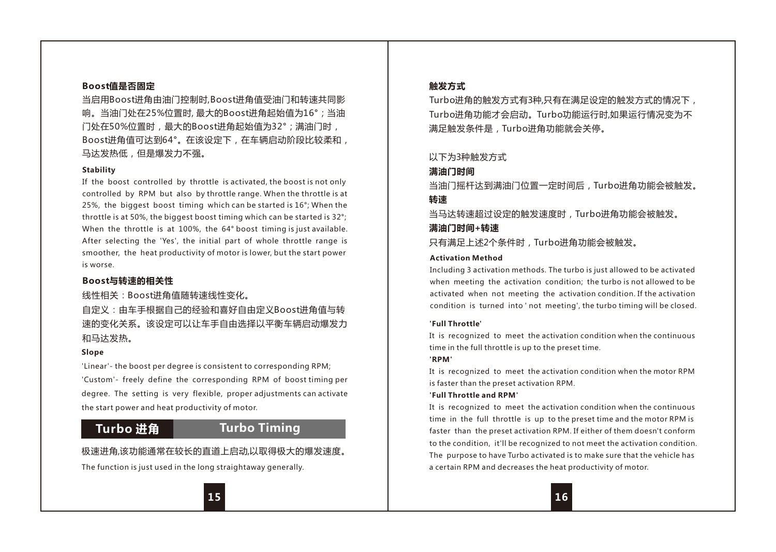#### **Boost值是否固定**

当启用Boost进角由油门控制时,Boost进角值受油门和转速共同影 响。当油门处在25%位置时, 最大的Boost进角起始值为16°;当油 门处在50%位置时,最大的Boost进角起始值为32°;满油门时, Boost进角值可达到64°。在该设定下,在车辆启动阶段比较柔和, 马达发热低, 但是爆发力不强。

#### **Stability**

If the boost controlled by throttle is activated, the boost is not only controlled by RPM but also by throttle range. When the throttle is at 25%, the biggest boost timing which can be started is 16°; When the throttle is at 50%, the biggest boost timing which can be started is 32°; When the throttle is at 100%, the 64° boost timing is just available. After selecting the 'Yes', the initial part of whole throttle range is smoother, the heat productivity of motor is lower, but the start power is worse.

#### **Boost与转速的相关性**

线性相关:Boost进角值随转速线性变化。

自定义:由车手根据自己的经验和喜好自由定义Boost进角值与转 速的变化关系。该设定可以让车手自由选择以平衡车辆启动爆发力 和马达发热

#### **Slope**

'Linear'- the boost per degree is consistent to corresponding RPM; 'Custom'- freely define the corresponding RPM of boost timing per degree. The setting is very flexible, proper adjustments can activate the start power and heat productivity of motor.

## **Turbo 进角 Turbo Timing**

#### 极速进角,该功能通常在较长的直道上启动,以取得极大的爆发速度。

The function is just used in the long straightaway generally.

#### **触发方式**

Turbo进角的触发方式有3种,只有在满足设定的触发方式的情况下, Turbo进角功能才会启动。Turbo功能运行时,如果运行情况变为不 满足触发条件是,Turbo进角功能就会关停。

#### 以下为3种触发方式

#### **满油门时间**

当油门摇杆达到满油门位置一定时间后,Turbo进角功能会被触发。 **转速**

当马达转速超过设定的触发速度时,Turbo进角功能会被触发。

# **满油门时间+转速**

只有满足上述2个条件时,Turbo进角功能会被触发。

#### **Activation Method**

Including 3 activation methods. The turbo is just allowed to be activated when meeting the activation condition; the turbo is not allowed to be activated when not meeting the activation condition. If the activation condition is turned into ' not meeting', the turbo timing will be closed.

#### **'Full Throttle'**

It is recognized to meet the activation condition when the continuous time in the full throttle is up to the preset time.

#### **'RPM'**

It is recognized to meet the activation condition when the motor RPM is faster than the preset activation RPM.

#### **'Full Throttle and RPM'**

It is recognized to meet the activation condition when the continuous time in the full throttle is up to the preset time and the motor RPM is faster than the preset activation RPM. If either of them doesn't conform to the condition, it'll be recognized to not meet the activation condition. The purpose to have Turbo activated is to make sure that the vehicle has a certain RPM and decreases the heat productivity of motor.

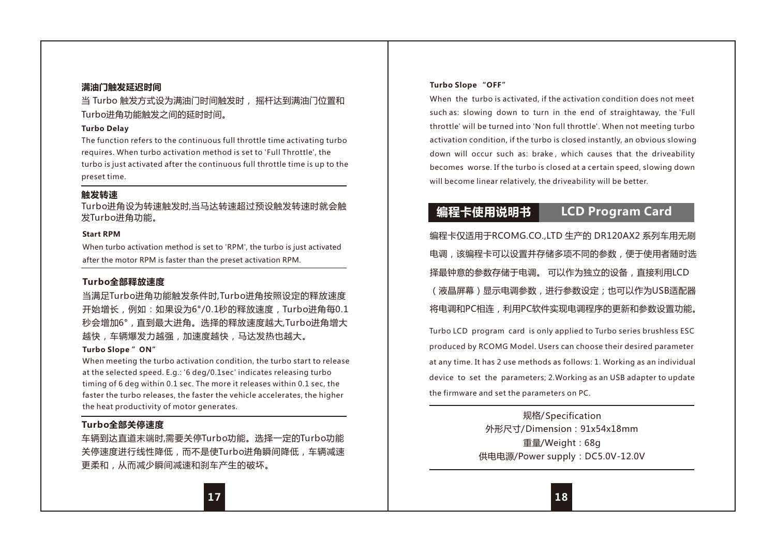#### **满油门触发延迟时间**

当 Turbo 触发方式设为满油门时间触发时, 摇杆达到满油门位置和 Turbo进角功能触发之间的延时时间。

#### **Turbo Delay**

The function refers to the continuous full throttle time activating turbo requires. When turbo activation method is set to 'Full Throttle', the turbo is just activated after the continuous full throttle time is up to the preset time.

#### **触发转速**

Turbo进角设为转速触发时,当马达转速超过预设触发转速时就会触 发Turbo进角功能。

#### **Start RPM**

When turbo activation method is set to 'RPM', the turbo is just activated after the motor RPM is faster than the preset activation RPM.

#### **Turbo全部释放速度**

当满足Turbo进角功能触发条件时,Turbo进角按照设定的释放速度 开始增长,例如:如果设为6°/0.1秒的释放速度,Turbo进角每0.1 秒会增加6°,直到最大进角。选择的释放速度越大,Turbo进角增大 越快,车辆爆发力越强,加速度越快,马达发热也越大。

#### **Turbo Slope "ON"**

When meeting the turbo activation condition, the turbo start to release at the selected speed. E.g.: '6 deg/0.1sec' indicates releasing turbo timing of 6 deg within 0.1 sec. The more it releases within 0.1 sec, the faster the turbo releases, the faster the vehicle accelerates, the higher the heat productivity of motor generates.

#### **Turbo全部关停速度**

车辆到达直道末端时,需要关停Turbo功能。选择一定的Turbo功能 关停速度进行线性降低,而不是使Turbo进角瞬间降低,车辆减速 更柔和,从而减少瞬间减速和刹车产生的破坏。

#### **Turbo Slope "OFF"**

When the turbo is activated, if the activation condition does not meet such as: slowing down to turn in the end of straightaway, the 'Full throttle' will be turned into 'Non full throttle'. When not meeting turbo activation condition, if the turbo is closed instantly, an obvious slowing down will occur such as: brake , which causes that the driveability becomes worse. If the turbo is closed at a certain speed, slowing down will become linear relatively, the driveability will be better.

# **编程卡使用说明书 LCD Program Card**

编程卡仅适用于RCOMG.CO.,LTD 生产的 DR120AX2 系列车用无刷 电调,该编程卡可以设置并存储多项不同的参数,便于使用者随时选 择最钟意的参数存储于电调。 可以作为独立的设备,直接利用LCD (液晶屏幕)显示电调参数,进行参数设定;也可以作为USB话配器 将电调和PC相连,利用PC软件实现电调程序的更新和参数设置功能。

Turbo LCD program card is only applied to Turbo series brushless ESC produced by RCOMG Model. Users can choose their desired parameter at any time. It has 2 use methods as follows: 1. Working as an individual device to set the parameters; 2.Working as an USB adapter to update the firmware and set the parameters on PC.

> 规格/Specification 外形尺寸/Dimension:91x54x18mm 重量/Weight:68g 供电电源/Power supply:DC5.0V-12.0V

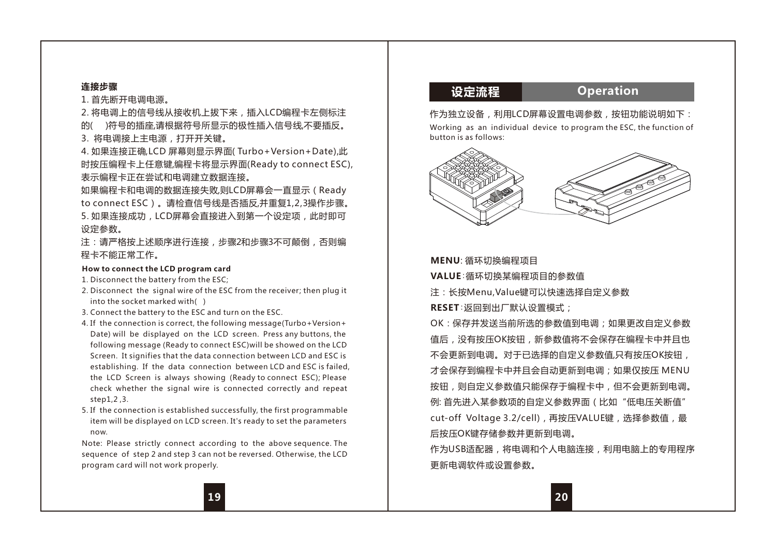### **连接步骤**

1. 首先断开电调电源。

2. 将电调上的信号线从接收机上拔下来,插入LCD编程卡左侧标注 的( )符号的插座,请根据符号所显示的极性插入信号线,不要插反。

3. 将电调接上主电源,打开开关键。

4. 如果连接正确,LCD 屏幕则显示界面( Turbo+Version+Date),此 时按压编程卡上任意键,编程卡将显示界面(Ready to connect ESC), 表示编程卡正在尝试和电调建立数据连接。

如果编程卡和电调的数据连接失败,则LCD屏幕会一直显示(Ready to connect ESC)。请检查信号线是否插反,并重复1,2,3操作步骤。 5. 如果连接成功,LCD屏幕会直接进入到第一个设定项,此时即可 设定参数。

注:请严格按上述顺序进行连接,步骤2和步骤3不可颠倒,否则编 程卡不能正常工作。

#### **How to connect the LCD program card**

1. Disconnect the battery from the ESC;

- 2. Disconnect the signal wire of the ESC from the receiver: then plug it into the socket marked with( )
- 3. Connect the battery to the ESC and turn on the ESC.
- 4. If the connection is correct, the following message(Turbo+Version+ Date) will be displayed on the LCD screen. Press any buttons, the following message (Ready to connect ESC)will be showed on the LCD Screen. It signifies that the data connection between LCD and ESC is establishing. If the data connection between LCD and ESC is failed, the LCD Screen is always showing (Ready to connect ESC); Please check whether the signal wire is connected correctly and repeat step1,2 ,3.
- 5. If the connection is established successfully, the first programmable item will be displayed on LCD screen. It's ready to set the parameters now.

Note: Please strictly connect according to the above sequence. The sequence of step 2 and step 3 can not be reversed. Otherwise, the LCD program card will not work properly.

**设定流程 Operation**

作为独立设备,利用LCD屏幕设置电调参数,按钮功能说明如下: Working as an individual device to program the ESC, the function of button is as follows:



**MENU**: 循环切换编程项目 **VALUE**:循环切换某编程项目的参数值

注:长按Menu,Value键可以快速选择自定义参数

**RESET**:返回到出厂默认设置模式;

OK:保存并发送当前所选的参数值到电调;如果更改自定义参数 值后,没有按压OK按钮,新参数值将不会保存在编程卡中并且也 不会更新到电调。对于已选择的自定义参数值,只有按压OK按钮, 才会保存到编程卡中并且会自动更新到电调;如果仅按压 MENU 按钮,则自定义参数值只能保存于编程卡中,但不会更新到电调。 例: 首先进入某参数项的自定义参数界面(比如"低电压关断值" cut-off Voltage 3.2/cell),再按压VALUE键,选择参数值,最 后按压OK键存储参数并更新到电调。

作为USB适配器,将电调和个人电脑连接,利用电脑上的专用程序 更新电调软件或设置参数。